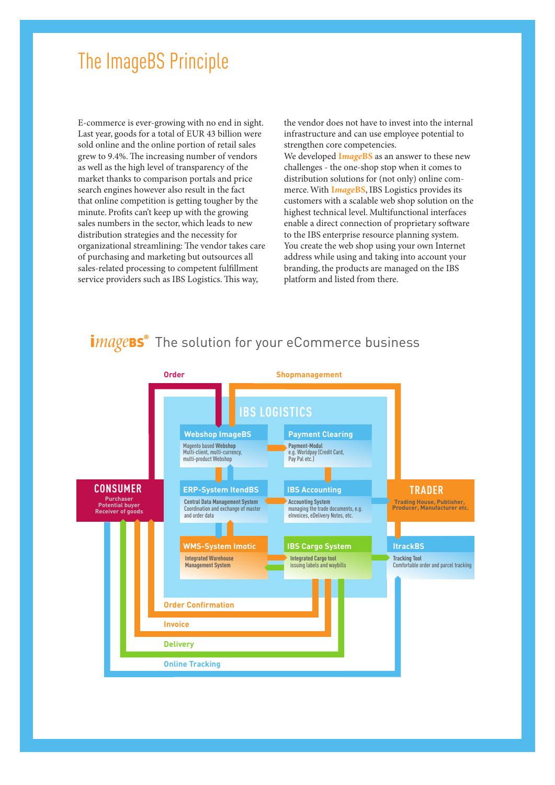## The ImageBS Principle

E-commerce is ever-growing with no end in sight. Last year, goods for a total of EUR 43 billion were sold online and the online portion of retail sales grew to 9.4%. The increasing number of vendors as well as the high level of transparency of the market thanks to comparison portals and price search engines however also result in the fact that online competition is getting tougher by the minute. Profits can't keep up with the growing sales numbers in the sector, which leads to new distribution strategies and the necessity for organizational streamlining: The vendor takes care of purchasing and marketing but outsources all sales-related processing to competent fulfillment service providers such as IBS Logistics. This way,

the vendor does not have to invest into the internal infrastructure and can use employee potential to strengthen core competencies.

We developed **I***mage***BS** as an answer to these new challenges - the one-shop stop when it comes to distribution solutions for (not only) online commerce. With **I***mage***BS**, IBS Logistics provides its customers with a scalable web shop solution on the highest technical level. Multifunctional interfaces enable a direct connection of proprietary software to the IBS enterprise resource planning system. You create the web shop using your own Internet address while using and taking into account your branding, the products are managed on the IBS platform and listed from there.

## $\degree$  The solution for your eCommerce business